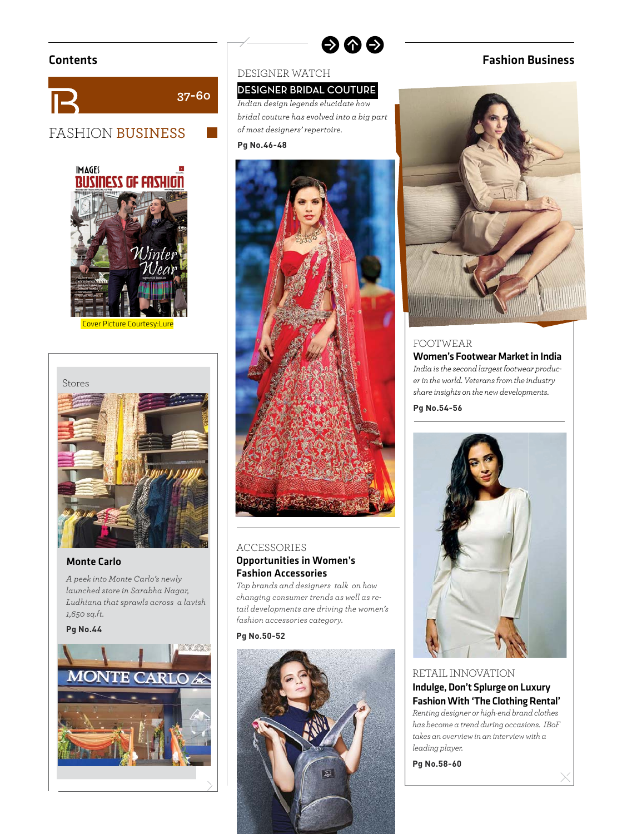



ver Picture Courtesy:Lure



### Monte Carlo

*A peek into Monte Carlo's newly launched store in Sarabha Nagar, Ludhiana that sprawls across a lavish 1,650 sq.ft.* 

### **Pg No.44**



### DESIGNER WATCH

### **DESIGNER BRIDAL COUTURE**

*Indian design legends elucidate how bridal couture has evolved into a big part of most designers' repertoire.*  **Pg No.46-48**

 $\bullet$ 



### ACCESSORIES Opportunities in Women's Fashion Accessories

*Top brands and designers talk on how changing consumer trends as well as retail developments are driving the women's fashion accessories category.*

### **Pg No.50-52**



# Contents Fashion Business



# FOOTWEAR

Women's Footwear Market in India *India is the second largest footwear producer in the world. Veterans from the industry share insights on the new developments.*

**Pg No.54-56**



RETAIL INNOVATION Indulge, Don't Splurge on Luxury Fashion With 'The Clothing Rental' *Renting designer or high-end brand clothes has become a trend during occasions. IBoF takes an overview in an interview with a leading player.*

**Pg No.58-60**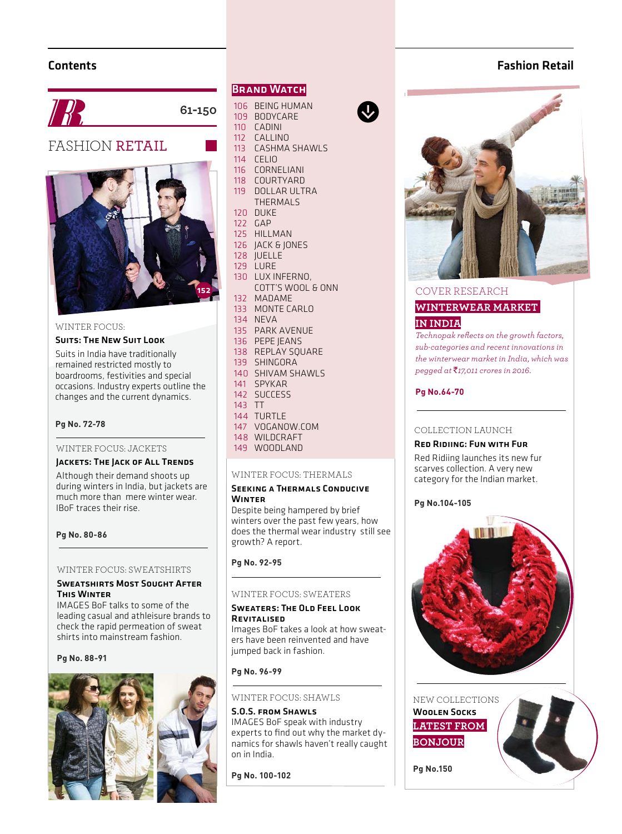# Contents



**61-150**

# FASHION RETAIL



### WINTER FOCUS:

### Suits: The New Suit Look

Suits in India have traditionally remained restricted mostly to boardrooms, festivities and special occasions. Industry experts outline the changes and the current dynamics.

### **Pg No. 72-78**

### WINTER FOCUS: JACKETS

### Jackets: The Jack of All Trends

Although their demand shoots up during winters in India, but jackets are much more than mere winter wear. IBoF traces their rise.

### **Pg No. 80-86**

# **Pg No. 92-95** WINTER FOCUS: SWEATSHIRTS

### Sweatshirts Most Sought After This Winter

IMAGES BoF talks to some of the leading casual and athleisure brands to check the rapid permeation of sweat shirts into mainstream fashion.

### **Pg No. 88-91**



### **BRAND WATCH**

- 106 BEING HUMAN 109 BODYCARE
- 110 CADINI
- 112 CALLINO
- 113 CASHMA SHAWLS
- 114 CELIO
- 116 CORNELIANI
- 118 COURTYARD
- 119 DOLLAR ULTRA THERMALS
- 120 DUKE
- 122 GAP
- 125 HILLMAN
- 126 JACK & JONES
- 128 JUELLE
- 129 LURE
- 130 LUX INFERNO, COTT'S WOOL & ONN
- 132 MADAME
- 133 MONTE CARLO
- 134 NEVA
- 135 PARK AVENUE
- 136 PEPE JEANS
- 138 REPLAY SQUARE 139 SHINGORA
- 140 SHIVAM SHAWLS
- 141 SPYKAR
- 142 SUCCESS
- 143 TT
- 144 TURTLE
- 147 VOGANOW.COM
- 148 WILDCRAFT
- 149 WOODLAND

### WINTER FOCUS: THERMALS

### Seeking a Thermals Conducive Winter

Despite being hampered by brief winters over the past few years, how does the thermal wear industry still see growth? A report.

### WINTER FOCUS: SWEATERS

### Sweaters: The Old Feel Look **REVITALISED**

Images BoF takes a look at how sweaters have been reinvented and have jumped back in fashion.

### **Pg No. 96-99**

### WINTER FOCUS: SHAWLS

S.O.S. from Shawls

IMAGES BoF speak with industry experts to find out why the market dynamics for shawls haven't really caught on in India.

**Pg No. 100-102**





### COVER RESEARCH

# **WINTERWEAR MARKET**

### **IN INDIA**

*Technopak refl ects on the growth factors, sub-categories and recent innovations in the winterwear market in India, which was pegged at* `*17,011 crores in 2016.* 

**Pg No.64-70**

### COLLECTION LAUNCH

### Red Ridiing: Fun with Fur

Red Ridiing launches its new fur scarves collection. A very new category for the Indian market.

### **Pg No.104-105**



NEW COLLECTIONS **LATEST FROM BONJOUR** Woolen Socks

**Pg No.150**



Fashion Retail